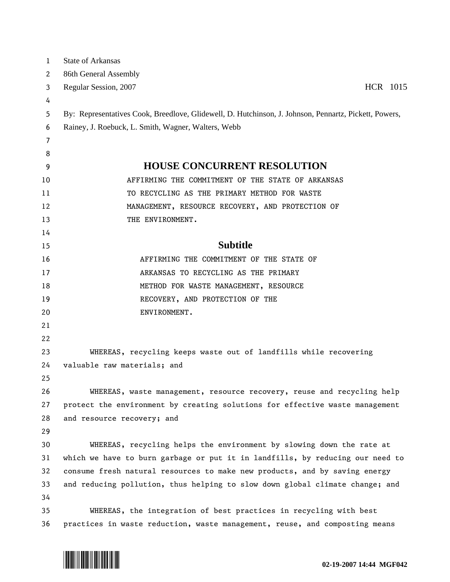| $\mathbf{1}$ | <b>State of Arkansas</b>                                                                              |
|--------------|-------------------------------------------------------------------------------------------------------|
| 2            | 86th General Assembly                                                                                 |
| 3            | HCR 1015<br>Regular Session, 2007                                                                     |
| 4            |                                                                                                       |
| 5            | By: Representatives Cook, Breedlove, Glidewell, D. Hutchinson, J. Johnson, Pennartz, Pickett, Powers, |
| 6            | Rainey, J. Roebuck, L. Smith, Wagner, Walters, Webb                                                   |
| 7            |                                                                                                       |
| 8            |                                                                                                       |
| 9            | <b>HOUSE CONCURRENT RESOLUTION</b>                                                                    |
| 10           | AFFIRMING THE COMMITMENT OF THE STATE OF ARKANSAS                                                     |
| 11           | TO RECYCLING AS THE PRIMARY METHOD FOR WASTE                                                          |
| 12           | MANAGEMENT, RESOURCE RECOVERY, AND PROTECTION OF                                                      |
| 13           | THE ENVIRONMENT.                                                                                      |
| 14           |                                                                                                       |
| 15           | <b>Subtitle</b>                                                                                       |
| 16           | AFFIRMING THE COMMITMENT OF THE STATE OF                                                              |
| 17           | ARKANSAS TO RECYCLING AS THE PRIMARY                                                                  |
| 18           | METHOD FOR WASTE MANAGEMENT, RESOURCE                                                                 |
| 19           | RECOVERY, AND PROTECTION OF THE                                                                       |
| 20           | ENVIRONMENT.                                                                                          |
| 21           |                                                                                                       |
| 22           |                                                                                                       |
| 23           | WHEREAS, recycling keeps waste out of landfills while recovering                                      |
| 24           | valuable raw materials; and                                                                           |
| 25           |                                                                                                       |
| 26           | WHEREAS, waste management, resource recovery, reuse and recycling help                                |
| 27           | protect the environment by creating solutions for effective waste management                          |
| 28           | and resource recovery; and                                                                            |
| 29           |                                                                                                       |
| 30           | WHEREAS, recycling helps the environment by slowing down the rate at                                  |
| 31           | which we have to burn garbage or put it in landfills, by reducing our need to                         |
| 32           | consume fresh natural resources to make new products, and by saving energy                            |
| 33           | and reducing pollution, thus helping to slow down global climate change; and                          |
| 34           |                                                                                                       |
| 35           | WHEREAS, the integration of best practices in recycling with best                                     |
| 36           | practices in waste reduction, waste management, reuse, and composting means                           |